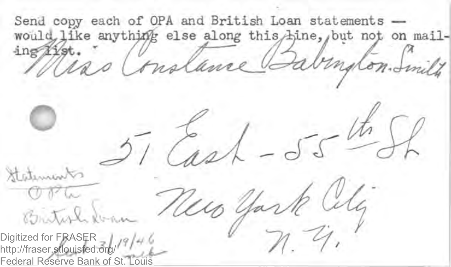Send copy each of OPA and British Loan statements would like anything else along this hine, but not on mail- $\mathbb{Z}$ ing 11st. Stateman Brital Digitized for FRASER  $\frac{1}{2}$  /  $\frac{9}{4}$  / 4 http://fraser.stlouisfed.org/ Federal Reserve Bank of St.